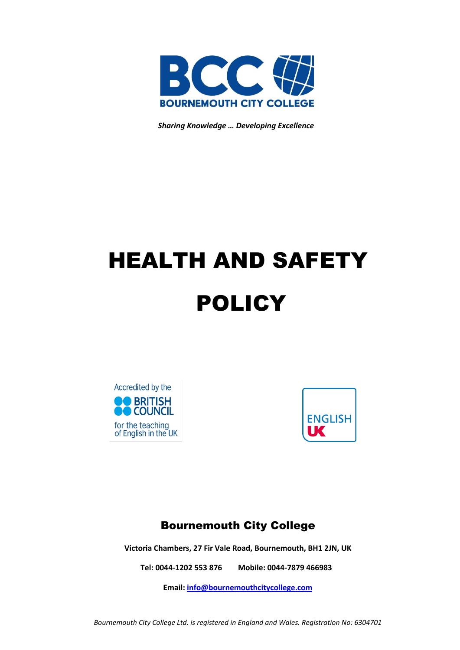

 *Sharing Knowledge … Developing Excellence*

# HEALTH AND SAFETY POLICY





# Bournemouth City College

**Victoria Chambers, 27 Fir Vale Road, Bournemouth, BH1 2JN, UK**

**Tel: 0044-1202 553 876 Mobile: 0044-7879 466983**

**Email: [info@bournemouthcitycollege.com](mailto:info@bournemouthcitycollege.com)**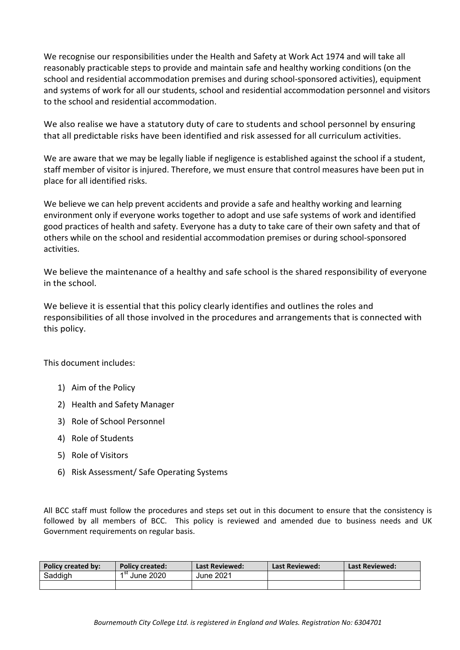We recognise our responsibilities under the Health and Safety at Work Act 1974 and will take all reasonably practicable steps to provide and maintain safe and healthy working conditions (on the school and residential accommodation premises and during school-sponsored activities), equipment and systems of work for all our students, school and residential accommodation personnel and visitors to the school and residential accommodation.

We also realise we have a statutory duty of care to students and school personnel by ensuring that all predictable risks have been identified and risk assessed for all curriculum activities.

We are aware that we may be legally liable if negligence is established against the school if a student, staff member of visitor is injured. Therefore, we must ensure that control measures have been put in place for all identified risks.

We believe we can help prevent accidents and provide a safe and healthy working and learning environment only if everyone works together to adopt and use safe systems of work and identified good practices of health and safety. Everyone has a duty to take care of their own safety and that of others while on the school and residential accommodation premises or during school-sponsored activities.

We believe the maintenance of a healthy and safe school is the shared responsibility of everyone in the school.

We believe it is essential that this policy clearly identifies and outlines the roles and responsibilities of all those involved in the procedures and arrangements that is connected with this policy.

This document includes:

- 1) Aim of the Policy
- 2) Health and Safety Manager
- 3) Role of School Personnel
- 4) Role of Students
- 5) Role of Visitors
- 6) Risk Assessment/ Safe Operating Systems

All BCC staff must follow the procedures and steps set out in this document to ensure that the consistency is followed by all members of BCC. This policy is reviewed and amended due to business needs and UK Government requirements on regular basis.

| <b>Policy created by:</b> | <b>Policy created:</b> | Last Reviewed: | <b>Last Reviewed:</b> | Last Reviewed: |
|---------------------------|------------------------|----------------|-----------------------|----------------|
| Saddigh                   | ⊿ St<br>June 2020      | June 2021      |                       |                |
|                           |                        |                |                       |                |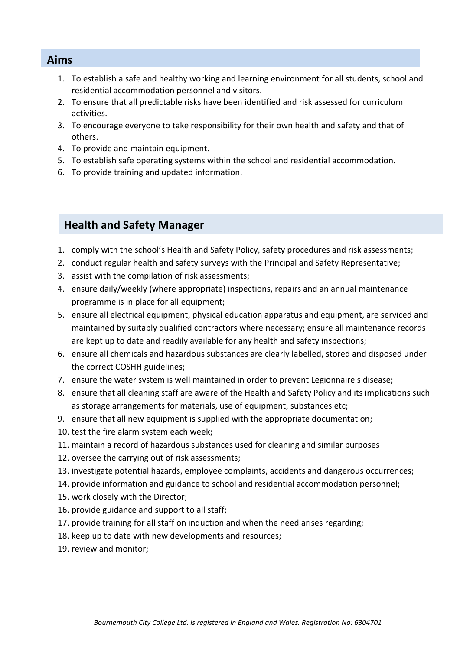#### **Aims**

- 1. To establish a safe and healthy working and learning environment for all students, school and residential accommodation personnel and visitors.
- 2. To ensure that all predictable risks have been identified and risk assessed for curriculum activities.
- 3. To encourage everyone to take responsibility for their own health and safety and that of others.
- 4. To provide and maintain equipment.
- 5. To establish safe operating systems within the school and residential accommodation.
- 6. To provide training and updated information.

#### **Health and Safety Manager**

- 1. comply with the school's Health and Safety Policy, safety procedures and risk assessments;
- 2. conduct regular health and safety surveys with the Principal and Safety Representative;
- 3. assist with the compilation of risk assessments;
- 4. ensure daily/weekly (where appropriate) inspections, repairs and an annual maintenance programme is in place for all equipment;
- 5. ensure all electrical equipment, physical education apparatus and equipment, are serviced and maintained by suitably qualified contractors where necessary; ensure all maintenance records are kept up to date and readily available for any health and safety inspections;
- 6. ensure all chemicals and hazardous substances are clearly labelled, stored and disposed under the correct COSHH guidelines;
- 7. ensure the water system is well maintained in order to prevent Legionnaire's disease;
- 8. ensure that all cleaning staff are aware of the Health and Safety Policy and its implications such as storage arrangements for materials, use of equipment, substances etc;
- 9. ensure that all new equipment is supplied with the appropriate documentation;
- 10. test the fire alarm system each week;
- 11. maintain a record of hazardous substances used for cleaning and similar purposes
- 12. oversee the carrying out of risk assessments;
- 13. investigate potential hazards, employee complaints, accidents and dangerous occurrences;
- 14. provide information and guidance to school and residential accommodation personnel;
- 15. work closely with the Director;
- 16. provide guidance and support to all staff;
- 17. provide training for all staff on induction and when the need arises regarding;
- 18. keep up to date with new developments and resources;
- 19. review and monitor;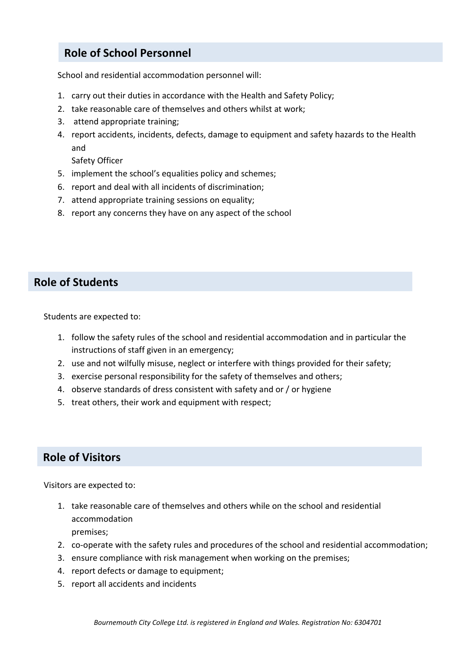## **Role of School Personnel**

School and residential accommodation personnel will:

- 1. carry out their duties in accordance with the Health and Safety Policy;
- 2. take reasonable care of themselves and others whilst at work;
- 3. attend appropriate training;
- 4. report accidents, incidents, defects, damage to equipment and safety hazards to the Health and

Safety Officer

- 5. implement the school's equalities policy and schemes;
- 6. report and deal with all incidents of discrimination;
- 7. attend appropriate training sessions on equality;
- 8. report any concerns they have on any aspect of the school

#### **Role of Students**

Students are expected to:

- 1. follow the safety rules of the school and residential accommodation and in particular the instructions of staff given in an emergency;
- 2. use and not wilfully misuse, neglect or interfere with things provided for their safety;
- 3. exercise personal responsibility for the safety of themselves and others;
- 4. observe standards of dress consistent with safety and or / or hygiene
- 5. treat others, their work and equipment with respect;

### **Role of Visitors**

Visitors are expected to:

- 1. take reasonable care of themselves and others while on the school and residential accommodation premises;
- 2. co-operate with the safety rules and procedures of the school and residential accommodation;
- 3. ensure compliance with risk management when working on the premises;
- 4. report defects or damage to equipment;
- 5. report all accidents and incidents